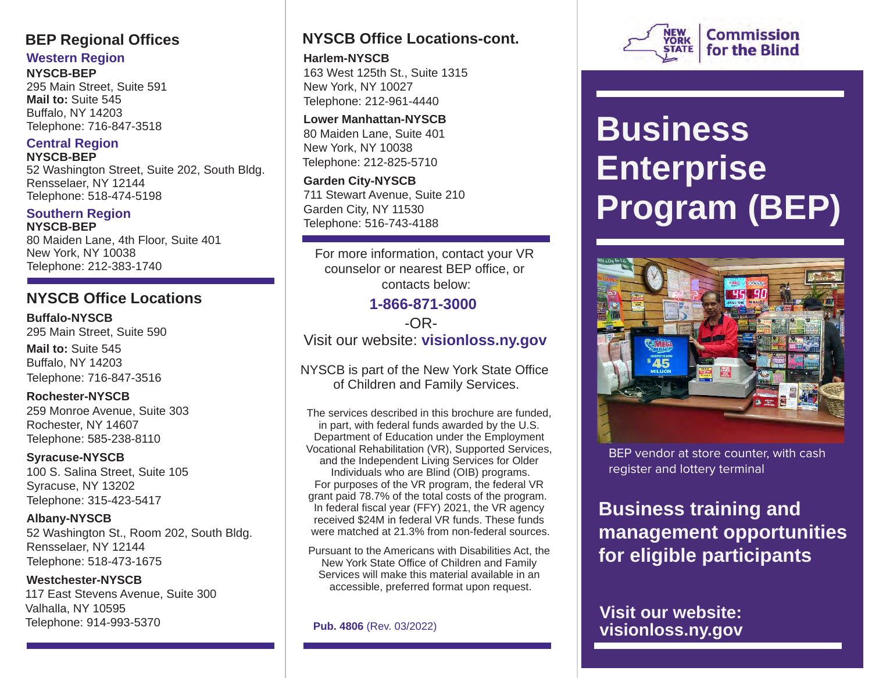## **BEP Regional Offices**

### **Western Region**

**NYSCB-BEP**  295 Main Street, Suite 591 **Mail to:** Suite 545 Buffalo, NY 14203 Telephone: 716-847-3518

### **Central Region NYSCB-BEP**

52 Washington Street, Suite 202, South Bldg. Rensselaer, NY 12144 Telephone: 518-474-5198

#### **Southern Region NYSCB-BEP**

80 Maiden Lane, 4th Floor, Suite 401 New York, NY 10038 Telephone: 212-383-1740

## **NYSCB Office Locations**

**Buffalo-NYSCB**  295 Main Street, Suite 590 **Mail to:** Suite 545 Buffalo, NY 14203 Telephone: 716-847-3516

**Rochester-NYSCB**  259 Monroe Avenue, Suite 303 Rochester, NY 14607 Telephone: 585-238-8110

**Syracuse-NYSCB**  100 S. Salina Street, Suite 105 Syracuse, NY 13202 Telephone: 315-423-5417

**Albany-NYSCB**  52 Washington St., Room 202, South Bldg. Rensselaer, NY 12144 Telephone: 518-473-1675

**Westchester-NYSCB**  117 East Stevens Avenue, Suite 300 Valhalla, NY 10595 Telephone: 914-993-5370

## **NYSCB Office Locations-cont.**

**Harlem-NYSCB**  163 West 125th St., Suite 1315 New York, NY 10027 Telephone: 212-961-4440

**Lower Manhattan-NYSCB**  80 Maiden Lane, Suite 401 New York, NY 10038 Telephone: 212-825-5710

**Garden City-NYSCB**  711 Stewart Avenue, Suite 210 Garden City, NY 11530 Telephone: 516-743-4188

For more information, contact your VR counselor or nearest BEP office, or contacts below:

### **1-866-871-3000** -OR-Visit our website: **[visionloss.ny.gov](https://visionloss.ny.gov)**

NYSCB is part of the New York State Office of Children and Family Services.

The services described in this brochure are funded, in part, with federal funds awarded by the U.S. Department of Education under the Employment Vocational Rehabilitation (VR), Supported Services, and the Independent Living Services for Older Individuals who are Blind (OIB) programs. For purposes of the VR program, the federal VR grant paid 78.7% of the total costs of the program. In federal fiscal year (FFY) 2021, the VR agency received \$24M in federal VR funds. These funds were matched at 21.3% from non-federal sources.

Pursuant to the Americans with Disabilities Act, the New York State Office of Children and Family Services will make this material available in an accessible, preferred format upon request.

**Pub. 4806** (Rev. 03/2022)



# **Business Enterprise Program (BEP)**



BEP vendor at store counter, with cash register and lottery terminal

**Business training and management opportunities for eligible participants** 

**Visit our website: [visionloss.ny.gov](https://visionloss.ny.gov)**